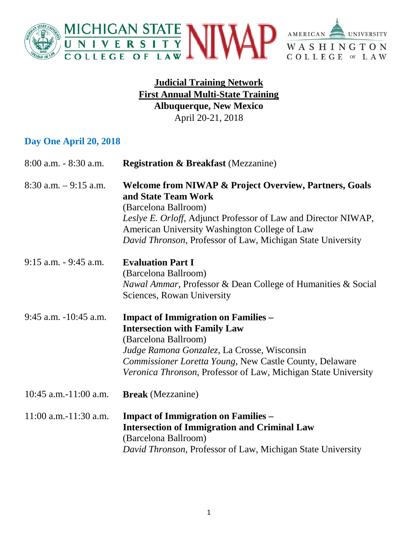

#### **Judicial Training Network First Annual Multi-State Training Albuquerque, New Mexico**  April 20-21, 2018

#### **Day One April 20, 2018**

| $8:00$ a.m. $-8:30$ a.m. | <b>Registration &amp; Breakfast</b> (Mezzanine)                                                                                                                                                                                                                                                    |
|--------------------------|----------------------------------------------------------------------------------------------------------------------------------------------------------------------------------------------------------------------------------------------------------------------------------------------------|
| $8:30$ a.m. $-9:15$ a.m. | <b>Welcome from NIWAP &amp; Project Overview, Partners, Goals</b><br>and State Team Work<br>(Barcelona Ballroom)<br>Leslye E. Orloff, Adjunct Professor of Law and Director NIWAP,<br>American University Washington College of Law<br>David Thronson, Professor of Law, Michigan State University |
| $9:15$ a.m. $-9:45$ a.m. | <b>Evaluation Part I</b><br>(Barcelona Ballroom)<br><i>Nawal Ammar</i> , Professor & Dean College of Humanities & Social<br>Sciences, Rowan University                                                                                                                                             |
| 9:45 a.m. -10:45 a.m.    | <b>Impact of Immigration on Families -</b><br><b>Intersection with Family Law</b><br>(Barcelona Ballroom)<br>Judge Ramona Gonzalez, La Crosse, Wisconsin<br>Commissioner Loretta Young, New Castle County, Delaware<br>Veronica Thronson, Professor of Law, Michigan State University              |
| $10:45$ a.m.-11:00 a.m.  | <b>Break</b> (Mezzanine)                                                                                                                                                                                                                                                                           |
| $11:00$ a.m.-11:30 a.m.  | <b>Impact of Immigration on Families –</b><br><b>Intersection of Immigration and Criminal Law</b><br>(Barcelona Ballroom)<br>David Thronson, Professor of Law, Michigan State University                                                                                                           |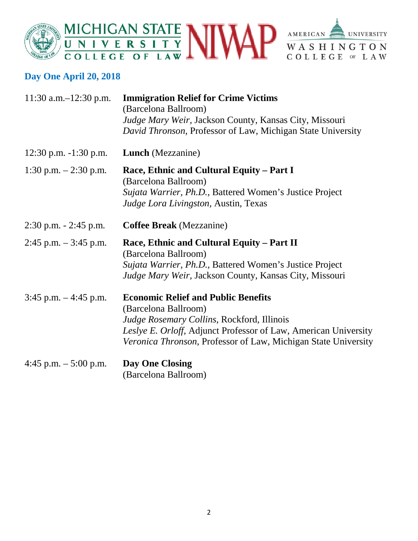



## **Day One April 20, 2018**

| 11:30 a.m. $-12:30$ p.m. | <b>Immigration Relief for Crime Victims</b><br>(Barcelona Ballroom)<br>Judge Mary Weir, Jackson County, Kansas City, Missouri<br>David Thronson, Professor of Law, Michigan State University                                                                 |
|--------------------------|--------------------------------------------------------------------------------------------------------------------------------------------------------------------------------------------------------------------------------------------------------------|
| 12:30 p.m. $-1:30$ p.m.  | <b>Lunch</b> (Mezzanine)                                                                                                                                                                                                                                     |
| 1:30 p.m. $- 2:30$ p.m.  | Race, Ethnic and Cultural Equity - Part I<br>(Barcelona Ballroom)<br>Sujata Warrier, Ph.D., Battered Women's Justice Project<br>Judge Lora Livingston, Austin, Texas                                                                                         |
| $2:30$ p.m. $-2:45$ p.m. | <b>Coffee Break</b> (Mezzanine)                                                                                                                                                                                                                              |
| $2:45$ p.m. $-3:45$ p.m. | Race, Ethnic and Cultural Equity – Part II<br>(Barcelona Ballroom)<br>Sujata Warrier, Ph.D., Battered Women's Justice Project<br>Judge Mary Weir, Jackson County, Kansas City, Missouri                                                                      |
| $3:45$ p.m. $-4:45$ p.m. | <b>Economic Relief and Public Benefits</b><br>(Barcelona Ballroom)<br><i>Judge Rosemary Collins, Rockford, Illinois</i><br>Leslye E. Orloff, Adjunct Professor of Law, American University<br>Veronica Thronson, Professor of Law, Michigan State University |
| 4:45 p.m. $-$ 5:00 p.m.  | <b>Day One Closing</b><br>(Barcelona Ballroom)                                                                                                                                                                                                               |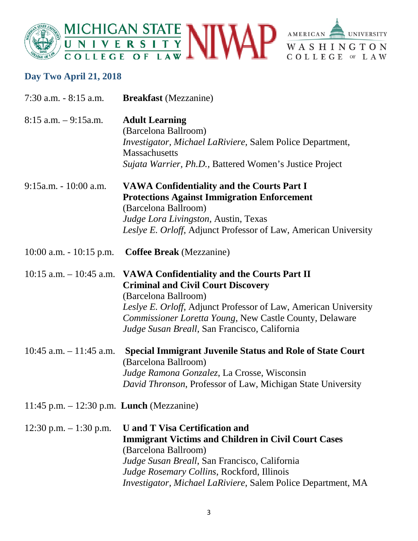



# **Day Two April 21, 2018**

| $7:30$ a.m. $-8:15$ a.m.                           | <b>Breakfast</b> (Mezzanine)                                                                                                                                                                                                                                                                                            |
|----------------------------------------------------|-------------------------------------------------------------------------------------------------------------------------------------------------------------------------------------------------------------------------------------------------------------------------------------------------------------------------|
| $8:15$ a.m. $-9:15$ a.m.                           | <b>Adult Learning</b><br>(Barcelona Ballroom)<br>Investigator, Michael LaRiviere, Salem Police Department,<br><b>Massachusetts</b><br><i>Sujata Warrier, Ph.D., Battered Women's Justice Project</i>                                                                                                                    |
| $9:15$ a.m. - 10:00 a.m.                           | <b>VAWA Confidentiality and the Courts Part I</b><br><b>Protections Against Immigration Enforcement</b><br>(Barcelona Ballroom)<br>Judge Lora Livingston, Austin, Texas<br>Leslye E. Orloff, Adjunct Professor of Law, American University                                                                              |
| $10:00$ a.m. $-10:15$ p.m.                         | <b>Coffee Break</b> (Mezzanine)                                                                                                                                                                                                                                                                                         |
|                                                    | 10:15 a.m. - 10:45 a.m. VAWA Confidentiality and the Courts Part II<br><b>Criminal and Civil Court Discovery</b><br>(Barcelona Ballroom)<br>Leslye E. Orloff, Adjunct Professor of Law, American University<br>Commissioner Loretta Young, New Castle County, Delaware<br>Judge Susan Breall, San Francisco, California |
| $10:45$ a.m. $-11:45$ a.m.                         | <b>Special Immigrant Juvenile Status and Role of State Court</b><br>(Barcelona Ballroom)<br>Judge Ramona Gonzalez, La Crosse, Wisconsin<br>David Thronson, Professor of Law, Michigan State University                                                                                                                  |
| 11:45 p.m. $- 12:30$ p.m. <b>Lunch</b> (Mezzanine) |                                                                                                                                                                                                                                                                                                                         |
| 12:30 p.m. $-1:30$ p.m.                            | <b>U</b> and <b>T</b> Visa Certification and<br><b>Immigrant Victims and Children in Civil Court Cases</b><br>(Barcelona Ballroom)<br>Judge Susan Breall, San Francisco, California<br>Judge Rosemary Collins, Rockford, Illinois<br>Investigator, Michael LaRiviere, Salem Police Department, MA                       |